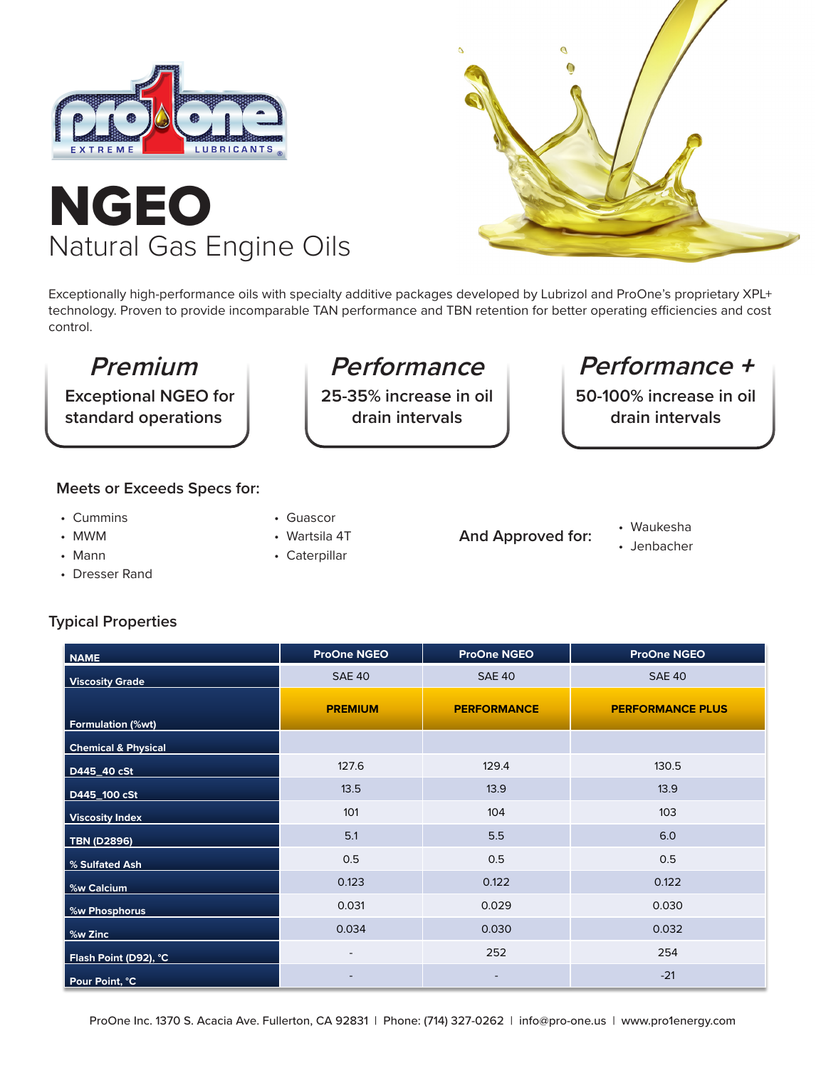





Exceptionally high-performance oils with specialty additive packages developed by Lubrizol and ProOne's proprietary XPL+ technology. Proven to provide incomparable TAN performance and TBN retention for better operating efficiencies and cost control.

**Exceptional NGEO for standard operations**

**25-35% increase in oil drain intervals**

## **Premium Berformance Performance +**

**50-100% increase in oil drain intervals**

### **Meets or Exceeds Specs for:**

- Cummins
- MWM
- Mann
- Dresser Rand
- Guascor
- Wartsila 4T
- Caterpillar
- **And Approved for:**
- Waukesha
- Jenbacher

### **Typical Properties**

| <b>NAME</b>                    | <b>ProOne NGEO</b>       | <b>ProOne NGEO</b> | <b>ProOne NGEO</b>      |  |  |  |  |  |
|--------------------------------|--------------------------|--------------------|-------------------------|--|--|--|--|--|
| <b>Viscosity Grade</b>         | <b>SAE 40</b>            | <b>SAE 40</b>      | <b>SAE 40</b>           |  |  |  |  |  |
| Formulation (%wt)              | <b>PREMIUM</b>           | <b>PERFORMANCE</b> | <b>PERFORMANCE PLUS</b> |  |  |  |  |  |
| <b>Chemical &amp; Physical</b> |                          |                    |                         |  |  |  |  |  |
| D445_40 cSt                    | 127.6                    | 129.4              | 130.5                   |  |  |  |  |  |
| D445_100 cSt                   | 13.5                     | 13.9               | 13.9                    |  |  |  |  |  |
| <b>Viscosity Index</b>         | 101                      | 104                | 103                     |  |  |  |  |  |
| TBN (D2896)                    | 5.1                      | 5.5                | 6.0                     |  |  |  |  |  |
| % Sulfated Ash                 | 0.5                      | 0.5                | 0.5                     |  |  |  |  |  |
| <b>%w Calcium</b>              | 0.123                    | 0.122              | 0.122                   |  |  |  |  |  |
| %w Phosphorus                  | 0.031                    | 0.029              | 0.030                   |  |  |  |  |  |
| $\frac{9}{2}$ %w Zinc          | 0.034                    | 0.030              | 0.032                   |  |  |  |  |  |
| Flash Point (D92), °C          | $\overline{\phantom{a}}$ | 252                | 254                     |  |  |  |  |  |
| Pour Point, °C                 |                          | $\qquad \qquad -$  | $-21$                   |  |  |  |  |  |